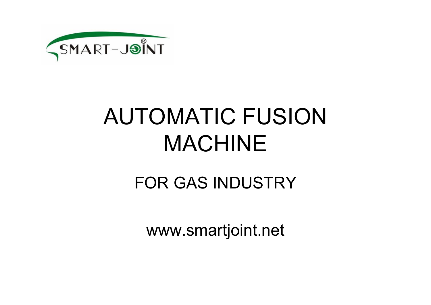

# AUTOMATIC FUSION MACHINE

#### FOR GAS INDUSTRY

www.smartjoint.net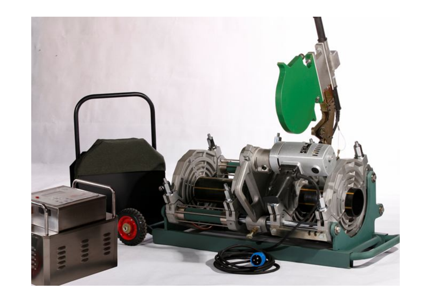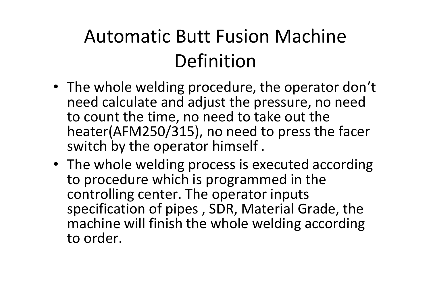## Automatic Butt Fusion Machine Definition

- The whole welding procedure, the operator don't need calculate and adjust the pressure, no need to count the time, no need to take out the heater(AFM250/315), no need to press the facer switch by the operator himself .
- The whole welding process is executed according to procedure which is programmed in the controlling center. The operator inputs specification of pipes , SDR, Material Grade, the machine will finish the whole welding according to order.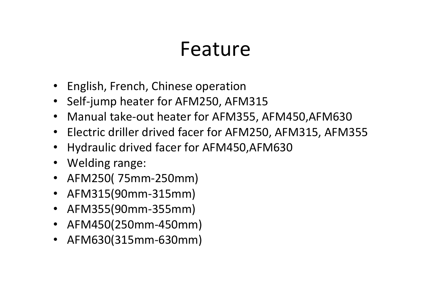### Feature

- English, French, Chinese operation
- Self-jump heater for AFM250, AFM315
- Manual take-out heater for AFM355, AFM450,AFM630
- Electric driller drived facer for AFM250, AFM315, AFM355
- Hydraulic drived facer for AFM450,AFM630
- Welding range:
- AFM250( 75mm-250mm)
- AFM315(90mm-315mm)
- AFM355(90mm-355mm)
- AFM450(250mm-450mm)
- AFM630(315mm-630mm)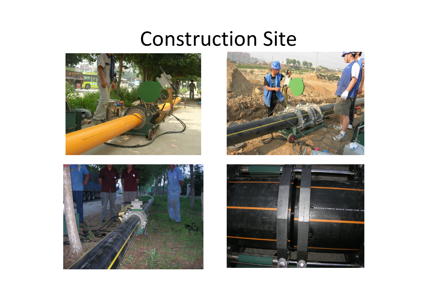#### Construction Site







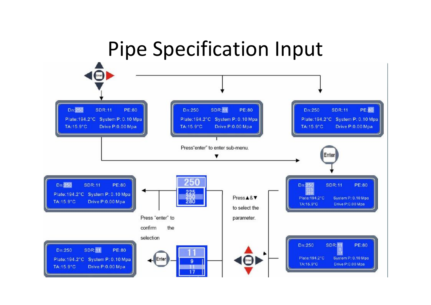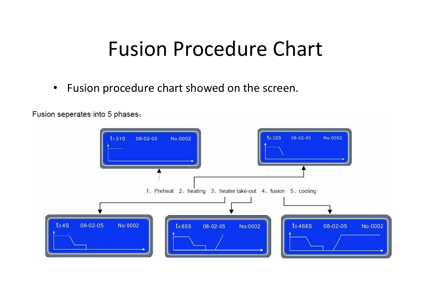### Fusion Procedure Chart

• Fusion procedure chart showed on the screen.

Fusion seperates into 5 phases:

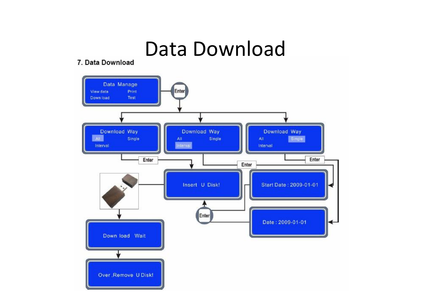#### Data Download

#### 7. Data Download

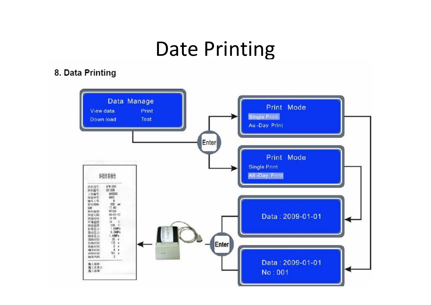#### Date Printing

#### 8. Data Printing